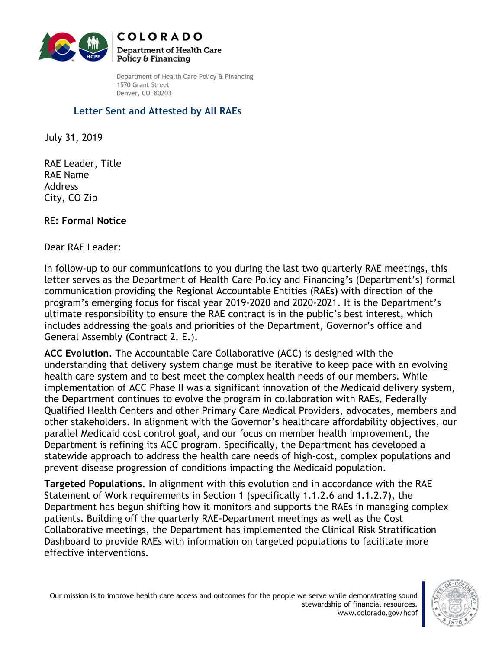

Department of Health Care Policy & Financing 1570 Grant Street Denver, CO 80203

## **Letter Sent and Attested by All RAEs**

July 31, 2019

RAE Leader, Title RAE Name Address City, CO Zip

RE**: Formal Notice**

Dear RAE Leader:

In follow-up to our communications to you during the last two quarterly RAE meetings, this letter serves as the Department of Health Care Policy and Financing's (Department's) formal communication providing the Regional Accountable Entities (RAEs) with direction of the program's emerging focus for fiscal year 2019-2020 and 2020-2021. It is the Department's ultimate responsibility to ensure the RAE contract is in the public's best interest, which includes addressing the goals and priorities of the Department, Governor's office and General Assembly (Contract 2. E.).

**ACC Evolution**. The Accountable Care Collaborative (ACC) is designed with the understanding that delivery system change must be iterative to keep pace with an evolving health care system and to best meet the complex health needs of our members. While implementation of ACC Phase II was a significant innovation of the Medicaid delivery system, the Department continues to evolve the program in collaboration with RAEs, Federally Qualified Health Centers and other Primary Care Medical Providers, advocates, members and other stakeholders. In alignment with the Governor's healthcare affordability objectives, our parallel Medicaid cost control goal, and our focus on member health improvement, the Department is refining its ACC program. Specifically, the Department has developed a statewide approach to address the health care needs of high-cost, complex populations and prevent disease progression of conditions impacting the Medicaid population.

**Targeted Populations**. In alignment with this evolution and in accordance with the RAE Statement of Work requirements in Section 1 (specifically 1.1.2.6 and 1.1.2.7), the Department has begun shifting how it monitors and supports the RAEs in managing complex patients. Building off the quarterly RAE-Department meetings as well as the Cost Collaborative meetings, the Department has implemented the Clinical Risk Stratification Dashboard to provide RAEs with information on targeted populations to facilitate more effective interventions.

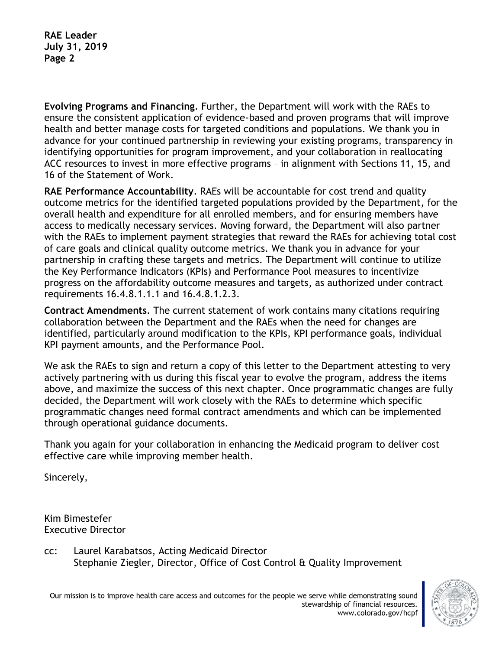**RAE Leader July 31, 2019 Page 2**

**Evolving Programs and Financing**. Further, the Department will work with the RAEs to ensure the consistent application of evidence-based and proven programs that will improve health and better manage costs for targeted conditions and populations. We thank you in advance for your continued partnership in reviewing your existing programs, transparency in identifying opportunities for program improvement, and your collaboration in reallocating ACC resources to invest in more effective programs – in alignment with Sections 11, 15, and 16 of the Statement of Work.

**RAE Performance Accountability**. RAEs will be accountable for cost trend and quality outcome metrics for the identified targeted populations provided by the Department, for the overall health and expenditure for all enrolled members, and for ensuring members have access to medically necessary services. Moving forward, the Department will also partner with the RAEs to implement payment strategies that reward the RAEs for achieving total cost of care goals and clinical quality outcome metrics. We thank you in advance for your partnership in crafting these targets and metrics. The Department will continue to utilize the Key Performance Indicators (KPIs) and Performance Pool measures to incentivize progress on the affordability outcome measures and targets, as authorized under contract requirements 16.4.8.1.1.1 and 16.4.8.1.2.3.

**Contract Amendments**. The current statement of work contains many citations requiring collaboration between the Department and the RAEs when the need for changes are identified, particularly around modification to the KPIs, KPI performance goals, individual KPI payment amounts, and the Performance Pool.

We ask the RAEs to sign and return a copy of this letter to the Department attesting to very actively partnering with us during this fiscal year to evolve the program, address the items above, and maximize the success of this next chapter. Once programmatic changes are fully decided, the Department will work closely with the RAEs to determine which specific programmatic changes need formal contract amendments and which can be implemented through operational guidance documents.

Thank you again for your collaboration in enhancing the Medicaid program to deliver cost effective care while improving member health.

Sincerely,

Kim Bimestefer Executive Director

cc: Laurel Karabatsos, Acting Medicaid Director Stephanie Ziegler, Director, Office of Cost Control & Quality Improvement